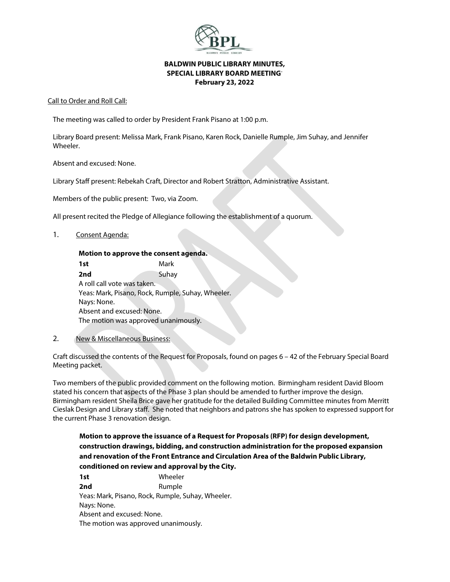

### **BALDWIN PUBLIC LIBRARY MINUTES, SPECIAL LIBRARY BOARD MEETING-February 23, 2022**

#### Call to Order and Roll Call:

The meeting was called to order by President Frank Pisano at 1:00 p.m.

Library Board present: Melissa Mark, Frank Pisano, Karen Rock, Danielle Rumple, Jim Suhay, and Jennifer Wheeler.

Absent and excused: None.

Library Staff present: Rebekah Craft, Director and Robert Stratton, Administrative Assistant.

Members of the public present: Two, via Zoom.

All present recited the Pledge of Allegiance following the establishment of a quorum.

#### 1. Consent Agenda:

### **Motion to approve the consent agenda.**

**1st** Mark **2nd** Suhay A roll call vote was taken. Yeas: Mark, Pisano, Rock, Rumple, Suhay, Wheeler. Nays: None. Absent and excused: None. The motion was approved unanimously.

#### 2. New & Miscellaneous Business:

Craft discussed the contents of the Request for Proposals, found on pages 6 – 42 of the February Special Board Meeting packet.

Two members of the public provided comment on the following motion. Birmingham resident David Bloom stated his concern that aspects of the Phase 3 plan should be amended to further improve the design. Birmingham resident Sheila Brice gave her gratitude for the detailed Building Committee minutes from Merritt Cieslak Design and Library staff. She noted that neighbors and patrons she has spoken to expressed support for the current Phase 3 renovation design.

# **Motion to approve the issuance of a Request for Proposals (RFP) for design development, construction drawings, bidding, and construction administration for the proposed expansion and renovation of the Front Entrance and Circulation Area of the Baldwin Public Library, conditioned on review and approval by the City.**

**1st** Wheeler **2nd** Rumple Yeas: Mark, Pisano, Rock, Rumple, Suhay, Wheeler. Nays: None. Absent and excused: None. The motion was approved unanimously.